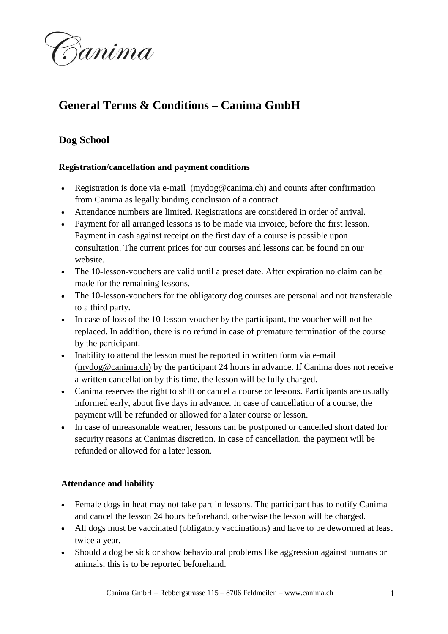

# **General Terms & Conditions – Canima GmbH**

# **Dog School**

# **Registration/cancellation and payment conditions**

- Registration is done via e-mail [\(mydog@canima.ch\)](mailto:mydog@canima.ch)) and counts after confirmation from Canima as legally binding conclusion of a contract.
- Attendance numbers are limited. Registrations are considered in order of arrival.
- Payment for all arranged lessons is to be made via invoice, before the first lesson. Payment in cash against receipt on the first day of a course is possible upon consultation. The current prices for our courses and lessons can be found on our website.
- The 10-lesson-vouchers are valid until a preset date. After expiration no claim can be made for the remaining lessons.
- The 10-lesson-vouchers for the obligatory dog courses are personal and not transferable to a third party.
- In case of loss of the 10-lesson-voucher by the participant, the voucher will not be replaced. In addition, there is no refund in case of premature termination of the course by the participant.
- Inability to attend the lesson must be reported in written form via e-mail [\(mydog@canima.ch\)](mailto:mydog@canima.ch)) by the participant 24 hours in advance. If Canima does not receive a written cancellation by this time, the lesson will be fully charged.
- Canima reserves the right to shift or cancel a course or lessons. Participants are usually informed early, about five days in advance. In case of cancellation of a course, the payment will be refunded or allowed for a later course or lesson.
- In case of unreasonable weather, lessons can be postponed or cancelled short dated for security reasons at Canimas discretion. In case of cancellation, the payment will be refunded or allowed for a later lesson.

# **Attendance and liability**

- Female dogs in heat may not take part in lessons. The participant has to notify Canima and cancel the lesson 24 hours beforehand, otherwise the lesson will be charged.
- All dogs must be vaccinated (obligatory vaccinations) and have to be dewormed at least twice a year.
- Should a dog be sick or show behavioural problems like aggression against humans or animals, this is to be reported beforehand.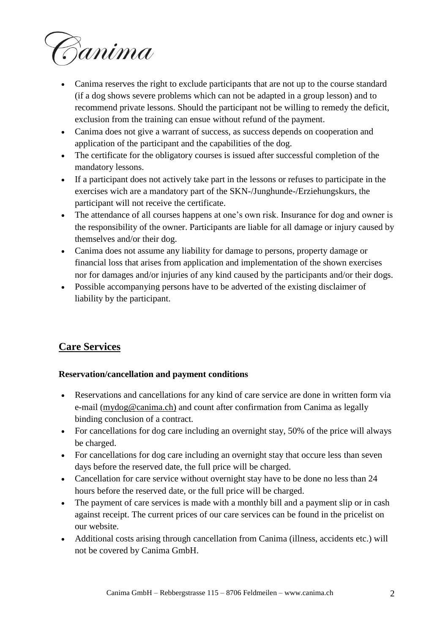

- Canima reserves the right to exclude participants that are not up to the course standard (if a dog shows severe problems which can not be adapted in a group lesson) and to recommend private lessons. Should the participant not be willing to remedy the deficit, exclusion from the training can ensue without refund of the payment.
- Canima does not give a warrant of success, as success depends on cooperation and application of the participant and the capabilities of the dog.
- The certificate for the obligatory courses is issued after successful completion of the mandatory lessons.
- If a participant does not actively take part in the lessons or refuses to participate in the exercises wich are a mandatory part of the SKN-/Junghunde-/Erziehungskurs, the participant will not receive the certificate.
- The attendance of all courses happens at one's own risk. Insurance for dog and owner is the responsibility of the owner. Participants are liable for all damage or injury caused by themselves and/or their dog.
- Canima does not assume any liability for damage to persons, property damage or financial loss that arises from application and implementation of the shown exercises nor for damages and/or injuries of any kind caused by the participants and/or their dogs.
- Possible accompanying persons have to be adverted of the existing disclaimer of liability by the participant.

# **Care Services**

# **Reservation/cancellation and payment conditions**

- Reservations and cancellations for any kind of care service are done in written form via e-mail [\(mydog@canima.ch\)](mailto:mydog@canima.ch)) and count after confirmation from Canima as legally binding conclusion of a contract.
- For cancellations for dog care including an overnight stay, 50% of the price will always be charged.
- For cancellations for dog care including an overnight stay that occure less than seven days before the reserved date, the full price will be charged.
- Cancellation for care service without overnight stay have to be done no less than 24 hours before the reserved date, or the full price will be charged.
- The payment of care services is made with a monthly bill and a payment slip or in cash against receipt. The current prices of our care services can be found in the pricelist on our website.
- Additional costs arising through cancellation from Canima (illness, accidents etc.) will not be covered by Canima GmbH.